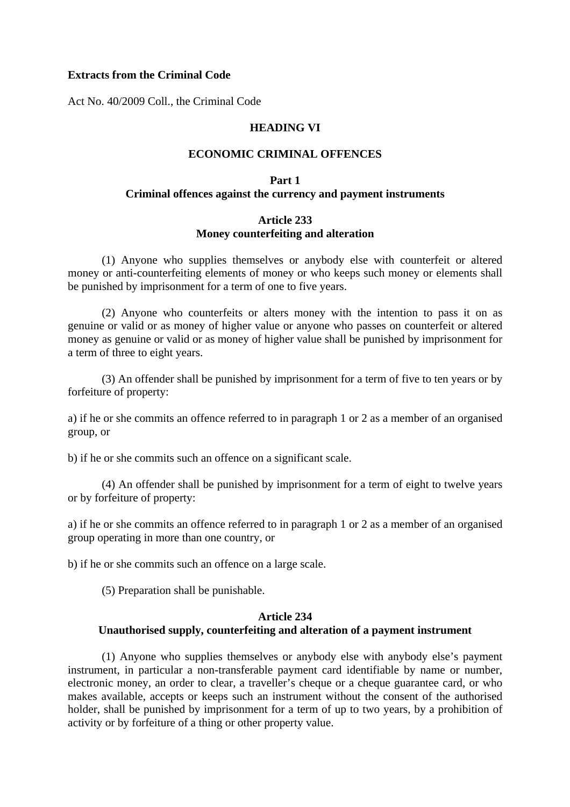#### **Extracts from the Criminal Code**

Act No. 40/2009 Coll., the Criminal Code

#### **HEADING VI**

#### **ECONOMIC CRIMINAL OFFENCES**

## **Part 1 Criminal offences against the currency and payment instruments**

## **Article 233 Money counterfeiting and alteration**

 (1) Anyone who supplies themselves or anybody else with counterfeit or altered money or anti-counterfeiting elements of money or who keeps such money or elements shall be punished by imprisonment for a term of one to five years.

 (2) Anyone who counterfeits or alters money with the intention to pass it on as genuine or valid or as money of higher value or anyone who passes on counterfeit or altered money as genuine or valid or as money of higher value shall be punished by imprisonment for a term of three to eight years.

 (3) An offender shall be punished by imprisonment for a term of five to ten years or by forfeiture of property:

a) if he or she commits an offence referred to in paragraph 1 or 2 as a member of an organised group, or

b) if he or she commits such an offence on a significant scale.

 (4) An offender shall be punished by imprisonment for a term of eight to twelve years or by forfeiture of property:

a) if he or she commits an offence referred to in paragraph 1 or 2 as a member of an organised group operating in more than one country, or

b) if he or she commits such an offence on a large scale.

(5) Preparation shall be punishable.

# **Article 234**

## **Unauthorised supply, counterfeiting and alteration of a payment instrument**

 (1) Anyone who supplies themselves or anybody else with anybody else's payment instrument, in particular a non-transferable payment card identifiable by name or number, electronic money, an order to clear, a traveller's cheque or a cheque guarantee card, or who makes available, accepts or keeps such an instrument without the consent of the authorised holder, shall be punished by imprisonment for a term of up to two years, by a prohibition of activity or by forfeiture of a thing or other property value.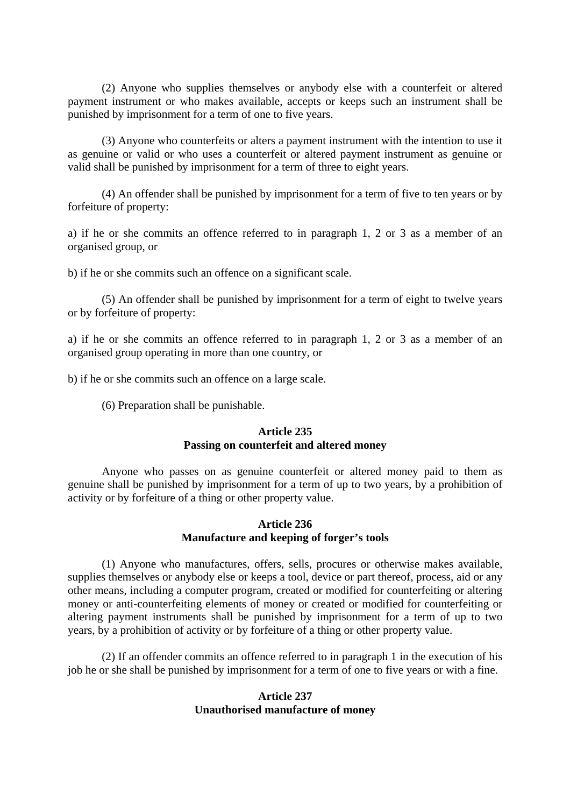(2) Anyone who supplies themselves or anybody else with a counterfeit or altered payment instrument or who makes available, accepts or keeps such an instrument shall be punished by imprisonment for a term of one to five years.

 (3) Anyone who counterfeits or alters a payment instrument with the intention to use it as genuine or valid or who uses a counterfeit or altered payment instrument as genuine or valid shall be punished by imprisonment for a term of three to eight years.

 (4) An offender shall be punished by imprisonment for a term of five to ten years or by forfeiture of property:

a) if he or she commits an offence referred to in paragraph 1, 2 or 3 as a member of an organised group, or

b) if he or she commits such an offence on a significant scale.

 (5) An offender shall be punished by imprisonment for a term of eight to twelve years or by forfeiture of property:

a) if he or she commits an offence referred to in paragraph 1, 2 or 3 as a member of an organised group operating in more than one country, or

b) if he or she commits such an offence on a large scale.

(6) Preparation shall be punishable.

#### **Article 235 Passing on counterfeit and altered money**

 Anyone who passes on as genuine counterfeit or altered money paid to them as genuine shall be punished by imprisonment for a term of up to two years, by a prohibition of activity or by forfeiture of a thing or other property value.

#### **Article 236 Manufacture and keeping of forger's tools**

 (1) Anyone who manufactures, offers, sells, procures or otherwise makes available, supplies themselves or anybody else or keeps a tool, device or part thereof, process, aid or any other means, including a computer program, created or modified for counterfeiting or altering money or anti-counterfeiting elements of money or created or modified for counterfeiting or altering payment instruments shall be punished by imprisonment for a term of up to two years, by a prohibition of activity or by forfeiture of a thing or other property value.

 (2) If an offender commits an offence referred to in paragraph 1 in the execution of his job he or she shall be punished by imprisonment for a term of one to five years or with a fine.

#### **Article 237 Unauthorised manufacture of money**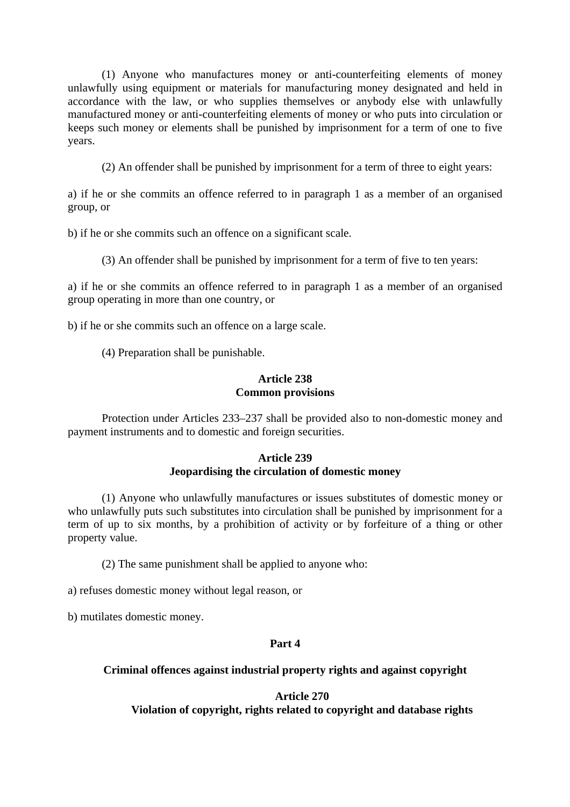(1) Anyone who manufactures money or anti-counterfeiting elements of money unlawfully using equipment or materials for manufacturing money designated and held in accordance with the law, or who supplies themselves or anybody else with unlawfully manufactured money or anti-counterfeiting elements of money or who puts into circulation or keeps such money or elements shall be punished by imprisonment for a term of one to five years.

(2) An offender shall be punished by imprisonment for a term of three to eight years:

a) if he or she commits an offence referred to in paragraph 1 as a member of an organised group, or

b) if he or she commits such an offence on a significant scale.

(3) An offender shall be punished by imprisonment for a term of five to ten years:

a) if he or she commits an offence referred to in paragraph 1 as a member of an organised group operating in more than one country, or

b) if he or she commits such an offence on a large scale.

(4) Preparation shall be punishable.

#### **Article 238 Common provisions**

 Protection under Articles 233–237 shall be provided also to non-domestic money and payment instruments and to domestic and foreign securities.

## **Article 239 Jeopardising the circulation of domestic money**

 (1) Anyone who unlawfully manufactures or issues substitutes of domestic money or who unlawfully puts such substitutes into circulation shall be punished by imprisonment for a term of up to six months, by a prohibition of activity or by forfeiture of a thing or other property value.

(2) The same punishment shall be applied to anyone who:

a) refuses domestic money without legal reason, or

b) mutilates domestic money.

## **Part 4**

## **Criminal offences against industrial property rights and against copyright**

## **Article 270**

**Violation of copyright, rights related to copyright and database rights**